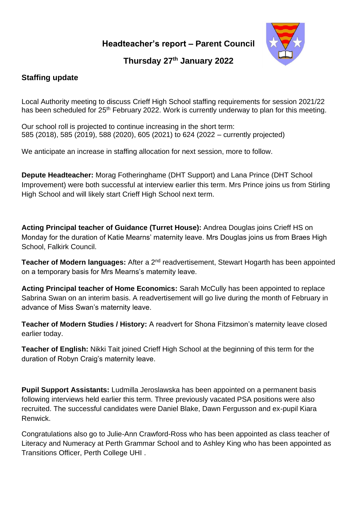**Headteacher's report – Parent Council**



# **Thursday 27 th January 2022**

## **Staffing update**

Local Authority meeting to discuss Crieff High School staffing requirements for session 2021/22 has been scheduled for 25<sup>th</sup> February 2022. Work is currently underway to plan for this meeting.

Our school roll is projected to continue increasing in the short term: 585 (2018), 585 (2019), 588 (2020), 605 (2021) to 624 (2022 – currently projected)

We anticipate an increase in staffing allocation for next session, more to follow.

**Depute Headteacher:** Morag Fotheringhame (DHT Support) and Lana Prince (DHT School Improvement) were both successful at interview earlier this term. Mrs Prince joins us from Stirling High School and will likely start Crieff High School next term.

**Acting Principal teacher of Guidance (Turret House):** Andrea Douglas joins Crieff HS on Monday for the duration of Katie Mearns' maternity leave. Mrs Douglas joins us from Braes High School, Falkirk Council.

**Teacher of Modern languages:** After a 2<sup>nd</sup> readvertisement, Stewart Hogarth has been appointed on a temporary basis for Mrs Mearns's maternity leave.

**Acting Principal teacher of Home Economics:** Sarah McCully has been appointed to replace Sabrina Swan on an interim basis. A readvertisement will go live during the month of February in advance of Miss Swan's maternity leave.

**Teacher of Modern Studies / History:** A readvert for Shona Fitzsimon's maternity leave closed earlier today.

**Teacher of English:** Nikki Tait joined Crieff High School at the beginning of this term for the duration of Robyn Craig's maternity leave.

**Pupil Support Assistants:** Ludmilla Jeroslawska has been appointed on a permanent basis following interviews held earlier this term. Three previously vacated PSA positions were also recruited. The successful candidates were Daniel Blake, Dawn Fergusson and ex-pupil Kiara Renwick.

Congratulations also go to Julie-Ann Crawford-Ross who has been appointed as class teacher of Literacy and Numeracy at Perth Grammar School and to Ashley King who has been appointed as Transitions Officer, Perth College UHI .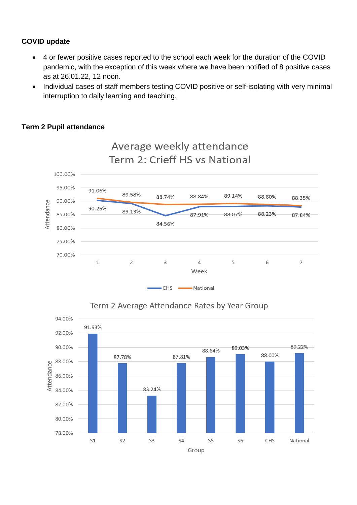#### **COVID update**

- 4 or fewer positive cases reported to the school each week for the duration of the COVID pandemic, with the exception of this week where we have been notified of 8 positive cases as at 26.01.22, 12 noon.
- Individual cases of staff members testing COVID positive or self-isolating with very minimal interruption to daily learning and teaching.

### **Term 2 Pupil attendance**





## Term 2 Average Attendance Rates by Year Group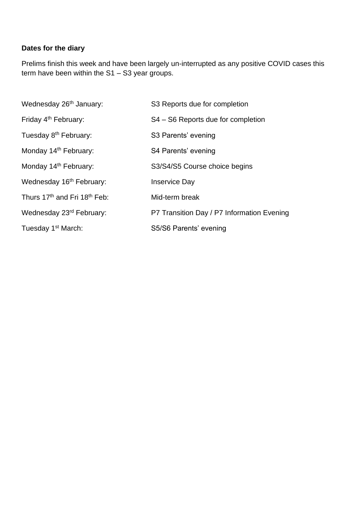## **Dates for the diary**

Prelims finish this week and have been largely un-interrupted as any positive COVID cases this term have been within the S1 – S3 year groups.

| Wednesday 26 <sup>th</sup> January:                  | S3 Reports due for completion              |  |
|------------------------------------------------------|--------------------------------------------|--|
| Friday 4 <sup>th</sup> February:                     | S4 – S6 Reports due for completion         |  |
| Tuesday 8 <sup>th</sup> February:                    | S3 Parents' evening                        |  |
| Monday 14 <sup>th</sup> February:                    | S4 Parents' evening                        |  |
| Monday 14 <sup>th</sup> February:                    | S3/S4/S5 Course choice begins              |  |
| Wednesday 16 <sup>th</sup> February:                 | <b>Inservice Day</b>                       |  |
| Thurs 17 <sup>th</sup> and Fri 18 <sup>th</sup> Feb: | Mid-term break                             |  |
| Wednesday 23rd February:                             | P7 Transition Day / P7 Information Evening |  |
| Tuesday 1 <sup>st</sup> March:                       | S5/S6 Parents' evening                     |  |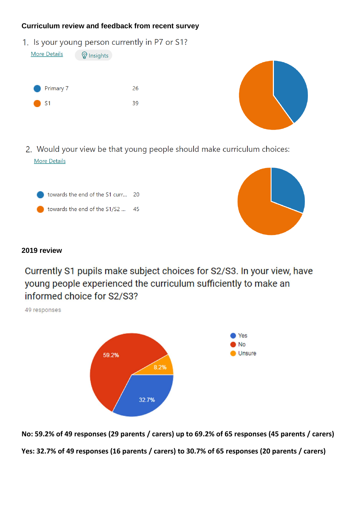#### **Curriculum review and feedback from recent survey**

1. Is your young person currently in P7 or S1?

| <b>More Details</b> | <b>V</b> Insights |    |
|---------------------|-------------------|----|
|                     |                   |    |
|                     |                   |    |
| Primary 7           |                   | 26 |
| S <sub>1</sub>      |                   | 39 |
|                     |                   |    |



2. Would your view be that young people should make curriculum choices: **More Details** 





#### **2019 review**

Currently S1 pupils make subject choices for S2/S3. In your view, have young people experienced the curriculum sufficiently to make an informed choice for S2/S3?

49 responses



**No: 59.2% of 49 responses (29 parents / carers) up to 69.2% of 65 responses (45 parents / carers) Yes: 32.7% of 49 responses (16 parents / carers) to 30.7% of 65 responses (20 parents / carers)**